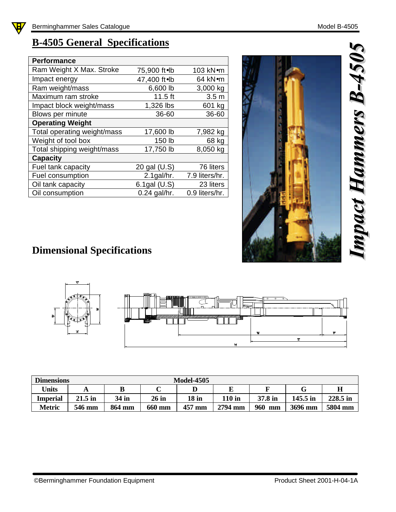## **B-4505 General Specifications**

| <b>Performance</b>          |                   |                  |
|-----------------------------|-------------------|------------------|
| Ram Weight X Max. Stroke    | 75,900 ft.lb      | 103 kN•m         |
| Impact energy               | 47,400 ft.lb      | 64 kNom          |
| Ram weight/mass             | 6,600 lb          | 3,000 kg         |
| Maximum ram stroke          | $11.5$ ft         | 3.5 <sub>m</sub> |
| Impact block weight/mass    | 1,326 lbs         | 601 kg           |
| Blows per minute            | 36-60             | 36-60            |
| <b>Operating Weight</b>     |                   |                  |
| Total operating weight/mass | 17,600 lb         | 7,982 kg         |
| Weight of tool box          | 150 lb            | 68 kg            |
| Total shipping weight/mass  | 17,750 lb         | 8,050 kg         |
| <b>Capacity</b>             |                   |                  |
| Fuel tank capacity          | 20 gal (U.S)      | 76 liters        |
| Fuel consumption            | $2.1$ gal/hr.     | 7.9 liters/hr.   |
| Oil tank capacity           | $6.1$ gal $(U.S)$ | 23 liters        |
| Oil consumption             | 0.24 gal/hr.      | 0.9 liters/hr.   |



## **Dimensional Specifications**



| <b>Dimensions</b>          |           | <b>Model-4505</b> |         |        |               |           |            |             |  |  |
|----------------------------|-----------|-------------------|---------|--------|---------------|-----------|------------|-------------|--|--|
| <b><i><u>Units</u></i></b> | A         |                   |         |        |               |           | G          | $\mathbf H$ |  |  |
| Imperial                   | $21.5$ in | 34 in             | $26$ in | 18 in  | <b>110 in</b> | 37.8 in   | $145.5$ in | 228.5 in    |  |  |
| <b>Metric</b>              | 546 mm    | 864 mm            | 660 mm  | 457 mm | 2794 mm       | 960<br>mm | 3696 mm    | 5804 mm     |  |  |